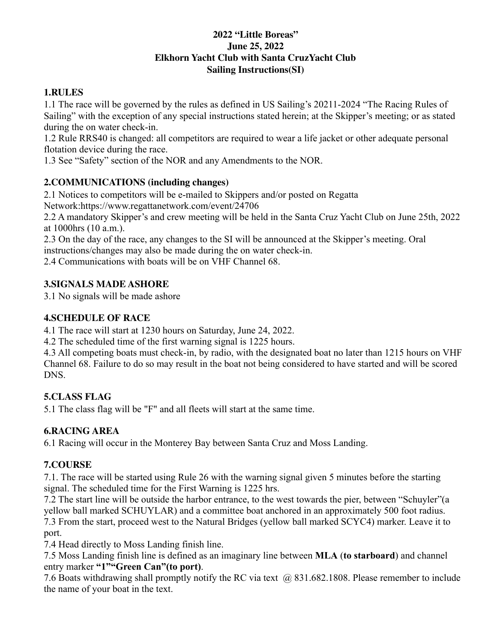### **2022 "Little Boreas" June 25, 2022 Elkhorn Yacht Club with Santa CruzYacht Club Sailing Instructions(SI)**

### **1.RULES**

1.1 The race will be governed by the rules as defined in US Sailing's 20211-2024 "The Racing Rules of Sailing" with the exception of any special instructions stated herein; at the Skipper's meeting; or as stated during the on water check-in.

1.2 Rule RRS40 is changed: all competitors are required to wear a life jacket or other adequate personal flotation device during the race.

1.3 See "Safety" section of the NOR and any Amendments to the NOR.

### **2.COMMUNICATIONS (including changes)**

2.1 Notices to competitors will be e-mailed to Skippers and/or posted on Regatta

Network:https://www.regattanetwork.com/event/24706

2.2 A mandatory Skipper's and crew meeting will be held in the Santa Cruz Yacht Club on June 25th, 2022 at 1000hrs (10 a.m.).

2.3 On the day of the race, any changes to the SI will be announced at the Skipper's meeting. Oral instructions/changes may also be made during the on water check-in.

2.4 Communications with boats will be on VHF Channel 68.

# **3.SIGNALS MADE ASHORE**

3.1 No signals will be made ashore

# **4.SCHEDULE OF RACE**

4.1 The race will start at 1230 hours on Saturday, June 24, 2022.

4.2 The scheduled time of the first warning signal is 1225 hours.

4.3 All competing boats must check-in, by radio, with the designated boat no later than 1215 hours on VHF Channel 68. Failure to do so may result in the boat not being considered to have started and will be scored DNS.

# **5.CLASS FLAG**

5.1 The class flag will be "F" and all fleets will start at the same time.

### **6.RACING AREA**

6.1 Racing will occur in the Monterey Bay between Santa Cruz and Moss Landing.

### **7.COURSE**

7.1. The race will be started using Rule 26 with the warning signal given 5 minutes before the starting signal. The scheduled time for the First Warning is 1225 hrs.

7.2 The start line will be outside the harbor entrance, to the west towards the pier, between "Schuyler"(a yellow ball marked SCHUYLAR) and a committee boat anchored in an approximately 500 foot radius.

7.3 From the start, proceed west to the Natural Bridges (yellow ball marked SCYC4) marker. Leave it to port.

7.4 Head directly to Moss Landing finish line.

7.5 Moss Landing finish line is defined as an imaginary line between **MLA** (**to starboard**) and channel entry marker **"1""Green Can"(to port)**.

7.6 Boats withdrawing shall promptly notify the RC via text @ 831.682.1808. Please remember to include the name of your boat in the text.